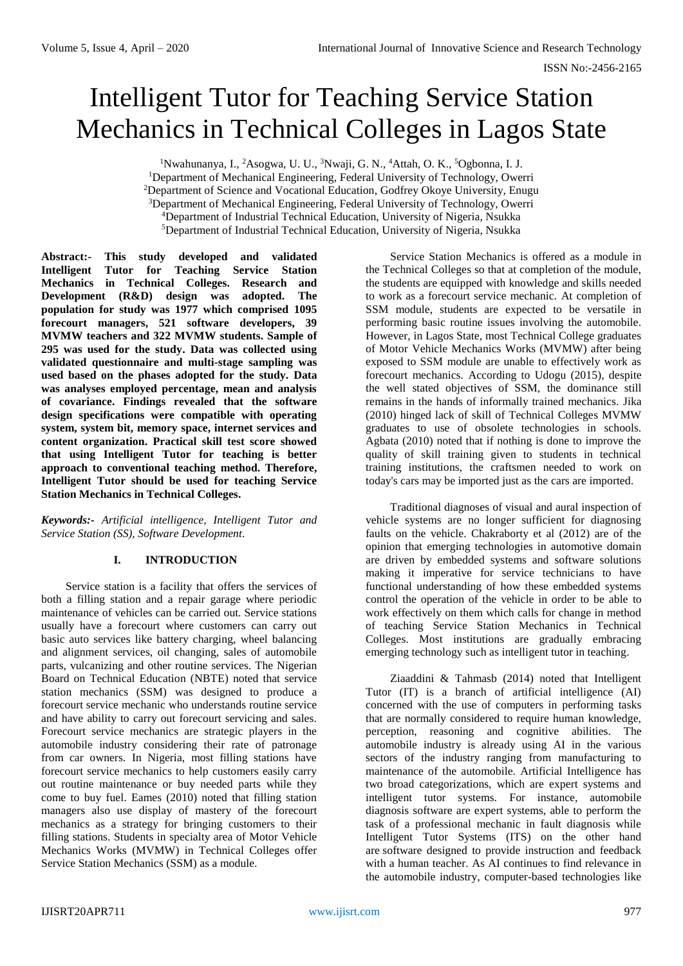# Intelligent Tutor for Teaching Service Station Mechanics in Technical Colleges in Lagos State

<sup>1</sup>Nwahunanya, I., <sup>2</sup>Asogwa, U. U., <sup>3</sup>Nwaji, G. N., <sup>4</sup>Attah, O. K., <sup>5</sup>Ogbonna, I. J.

<sup>1</sup>Department of Mechanical Engineering, Federal University of Technology, Owerri <sup>2</sup>Department of Science and Vocational Education, Godfrey Okoye University, Enugu

<sup>3</sup>Department of Mechanical Engineering, Federal University of Technology, Owerri

<sup>5</sup>Department of Industrial Technical Education, University of Nigeria, Nsukka

**Abstract:- This study developed and validated Intelligent Tutor for Teaching Service Station Mechanics in Technical Colleges. Research and Development (R&D) design was adopted. The population for study was 1977 which comprised 1095 forecourt managers, 521 software developers, 39 MVMW teachers and 322 MVMW students. Sample of 295 was used for the study. Data was collected using validated questionnaire and multi-stage sampling was used based on the phases adopted for the study. Data was analyses employed percentage, mean and analysis of covariance. Findings revealed that the software design specifications were compatible with operating system, system bit, memory space, internet services and content organization. Practical skill test score showed that using Intelligent Tutor for teaching is better approach to conventional teaching method. Therefore, Intelligent Tutor should be used for teaching Service Station Mechanics in Technical Colleges.**

*Keywords:- Artificial intelligence, Intelligent Tutor and Service Station (SS), Software Development.*

# **I. INTRODUCTION**

Service station is a facility that offers the services of both a filling station and a repair garage where periodic maintenance of vehicles can be carried out. Service stations usually have a forecourt where customers can carry out basic auto services like battery charging, wheel balancing and alignment services, oil changing, sales of automobile parts, vulcanizing and other routine services. The Nigerian Board on Technical Education (NBTE) noted that service station mechanics (SSM) was designed to produce a forecourt service mechanic who understands routine service and have ability to carry out forecourt servicing and sales. Forecourt service mechanics are strategic players in the automobile industry considering their rate of patronage from car owners. In Nigeria, most filling stations have forecourt service mechanics to help customers easily carry out routine maintenance or buy needed parts while they come to buy fuel. Eames (2010) noted that filling station managers also use display of mastery of the forecourt mechanics as a strategy for bringing customers to their filling stations. Students in specialty area of Motor Vehicle Mechanics Works (MVMW) in Technical Colleges offer Service Station Mechanics (SSM) as a module.

Service Station Mechanics is offered as a module in the Technical Colleges so that at completion of the module, the students are equipped with knowledge and skills needed to work as a forecourt service mechanic. At completion of SSM module, students are expected to be versatile in performing basic routine issues involving the automobile. However, in Lagos State, most Technical College graduates of Motor Vehicle Mechanics Works (MVMW) after being exposed to SSM module are unable to effectively work as forecourt mechanics. According to Udogu (2015), despite the well stated objectives of SSM, the dominance still remains in the hands of informally trained mechanics. Jika (2010) hinged lack of skill of Technical Colleges MVMW graduates to use of obsolete technologies in schools. Agbata (2010) noted that if nothing is done to improve the quality of skill training given to students in technical training institutions, the craftsmen needed to work on today's cars may be imported just as the cars are imported.

Traditional diagnoses of visual and aural inspection of vehicle systems are no longer sufficient for diagnosing faults on the vehicle. Chakraborty et al (2012) are of the opinion that emerging technologies in automotive domain are driven by embedded systems and software solutions making it imperative for service technicians to have functional understanding of how these embedded systems control the operation of the vehicle in order to be able to work effectively on them which calls for change in method of teaching Service Station Mechanics in Technical Colleges. Most institutions are gradually embracing emerging technology such as intelligent tutor in teaching.

Ziaaddini & Tahmasb (2014) noted that Intelligent Tutor (IT) is a branch of artificial intelligence (AI) concerned with the use of computers in performing tasks that are normally considered to require human knowledge, perception, reasoning and cognitive abilities. The automobile industry is already using AI in the various sectors of the industry ranging from manufacturing to maintenance of the automobile. Artificial Intelligence has two broad categorizations, which are expert systems and intelligent tutor systems. For instance, automobile diagnosis software are expert systems, able to perform the task of a professional mechanic in fault diagnosis while Intelligent Tutor Systems (ITS) on the other hand are software designed to provide instruction and feedback with a human teacher. As AI continues to find relevance in the automobile industry, computer-based technologies like

<sup>&</sup>lt;sup>4</sup>Department of Industrial Technical Education, University of Nigeria, Nsukka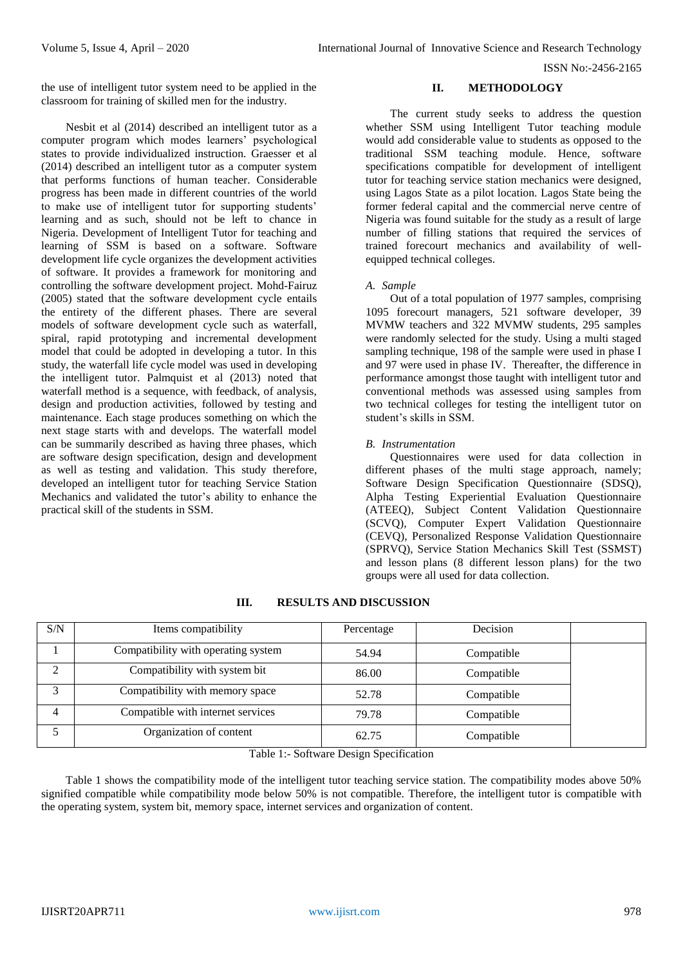ISSN No:-2456-2165

the use of intelligent tutor system need to be applied in the classroom for training of skilled men for the industry.

Nesbit et al (2014) described an intelligent tutor as a computer program which modes learners' psychological states to provide individualized instruction. Graesser et al (2014) described an intelligent tutor as a computer system that performs functions of human teacher. Considerable progress has been made in different countries of the world to make use of intelligent tutor for supporting students' learning and as such, should not be left to chance in Nigeria. Development of Intelligent Tutor for teaching and learning of SSM is based on a software. Software development life cycle organizes the development activities of software. It provides a framework for monitoring and controlling the software development project. Mohd-Fairuz (2005) stated that the software development cycle entails the entirety of the different phases. There are several models of software development cycle such as waterfall, spiral, rapid prototyping and incremental development model that could be adopted in developing a tutor. In this study, the waterfall life cycle model was used in developing the intelligent tutor. Palmquist et al (2013) noted that waterfall method is a sequence, with feedback, of analysis, design and production activities, followed by testing and maintenance. Each stage produces something on which the next stage starts with and develops. The waterfall model can be summarily described as having three phases, which are software design specification, design and development as well as testing and validation. This study therefore, developed an intelligent tutor for teaching Service Station Mechanics and validated the tutor's ability to enhance the practical skill of the students in SSM.

# **II. METHODOLOGY**

The current study seeks to address the question whether SSM using Intelligent Tutor teaching module would add considerable value to students as opposed to the traditional SSM teaching module. Hence, software specifications compatible for development of intelligent tutor for teaching service station mechanics were designed, using Lagos State as a pilot location. Lagos State being the former federal capital and the commercial nerve centre of Nigeria was found suitable for the study as a result of large number of filling stations that required the services of trained forecourt mechanics and availability of wellequipped technical colleges.

## *A. Sample*

Out of a total population of 1977 samples, comprising 1095 forecourt managers, 521 software developer, 39 MVMW teachers and 322 MVMW students, 295 samples were randomly selected for the study. Using a multi staged sampling technique, 198 of the sample were used in phase I and 97 were used in phase IV. Thereafter, the difference in performance amongst those taught with intelligent tutor and conventional methods was assessed using samples from two technical colleges for testing the intelligent tutor on student's skills in SSM.

## *B. Instrumentation*

Questionnaires were used for data collection in different phases of the multi stage approach, namely; Software Design Specification Questionnaire (SDSQ), Alpha Testing Experiential Evaluation Questionnaire (ATEEQ), Subject Content Validation Questionnaire (SCVQ), Computer Expert Validation Questionnaire (CEVQ), Personalized Response Validation Questionnaire (SPRVQ), Service Station Mechanics Skill Test (SSMST) and lesson plans (8 different lesson plans) for the two groups were all used for data collection.

| S/N          | Items compatibility                 | Percentage | Decision   |  |
|--------------|-------------------------------------|------------|------------|--|
|              | Compatibility with operating system | 54.94      | Compatible |  |
| ◠            | Compatibility with system bit       | 86.00      | Compatible |  |
| $\mathbf{c}$ | Compatibility with memory space     | 52.78      | Compatible |  |
|              | Compatible with internet services   | 79.78      | Compatible |  |
|              | Organization of content             | 62.75      | Compatible |  |

## **III. RESULTS AND DISCUSSION**

Table 1:- Software Design Specification

Table 1 shows the compatibility mode of the intelligent tutor teaching service station. The compatibility modes above 50% signified compatible while compatibility mode below 50% is not compatible. Therefore, the intelligent tutor is compatible with the operating system, system bit, memory space, internet services and organization of content.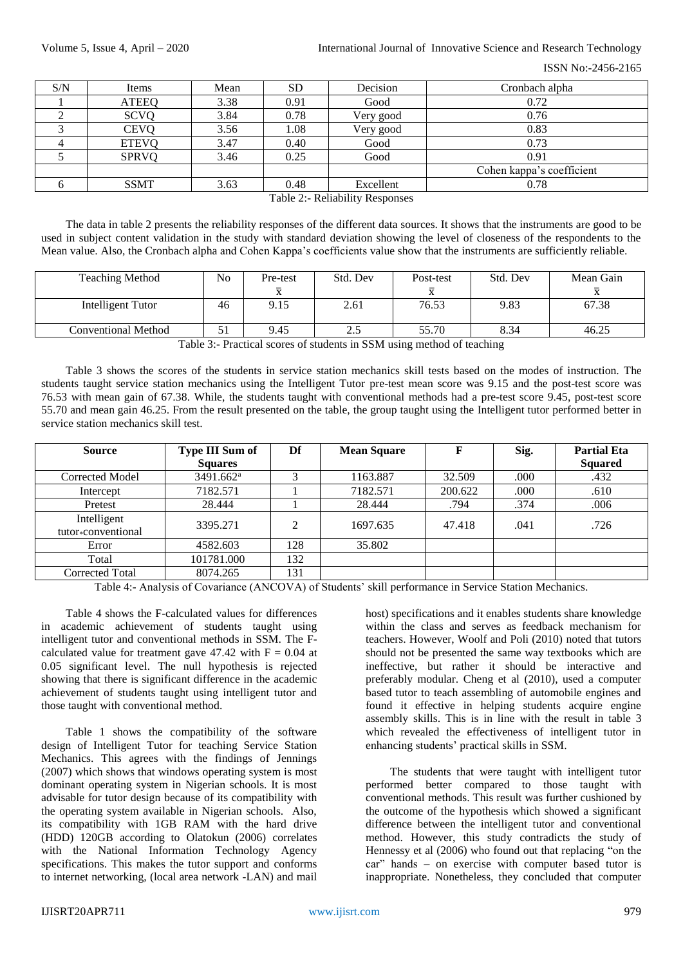ISSN No:-2456-2165

| S/N                                                   | Items        | Mean | <b>SD</b> | Decision  | Cronbach alpha            |  |  |
|-------------------------------------------------------|--------------|------|-----------|-----------|---------------------------|--|--|
|                                                       | <b>ATEEQ</b> | 3.38 | 0.91      | Good      | 0.72                      |  |  |
|                                                       | <b>SCVQ</b>  | 3.84 | 0.78      | Very good | 0.76                      |  |  |
|                                                       | <b>CEVQ</b>  | 3.56 | 1.08      | Very good | 0.83                      |  |  |
|                                                       | <b>ETEVQ</b> | 3.47 | 0.40      | Good      | 0.73                      |  |  |
|                                                       | <b>SPRVQ</b> | 3.46 | 0.25      | Good      | 0.91                      |  |  |
|                                                       |              |      |           |           | Cohen kappa's coefficient |  |  |
|                                                       | <b>SSMT</b>  | 3.63 | 0.48      | Excellent | 0.78                      |  |  |
| $T_{\rm eff}$ $\sim$ 0. D. U. i. i. i. $D_{\rm core}$ |              |      |           |           |                           |  |  |

Table 2:- Reliability Responses

The data in table 2 presents the reliability responses of the different data sources. It shows that the instruments are good to be used in subject content validation in the study with standard deviation showing the level of closeness of the respondents to the Mean value. Also, the Cronbach alpha and Cohen Kappa's coefficients value show that the instruments are sufficiently reliable.

| <b>Teaching Method</b> | N <sub>0</sub> | Pre-test                | Std. Dev                | Post-test | Std. Dev | Mean Gain |
|------------------------|----------------|-------------------------|-------------------------|-----------|----------|-----------|
|                        |                | $\overline{\mathbf{v}}$ |                         |           |          |           |
| Intelligent Tutor      | 46             | 9.15                    | 2.61                    | 76.53     | 9.83     | 67.38     |
| Conventional Method    | JІ             | 9.45                    | $\cap$ $\subset$<br>ن ک | 55.70     | 8.34     | 46.25     |

Table 3:- Practical scores of students in SSM using method of teaching

Table 3 shows the scores of the students in service station mechanics skill tests based on the modes of instruction. The students taught service station mechanics using the Intelligent Tutor pre-test mean score was 9.15 and the post-test score was 76.53 with mean gain of 67.38. While, the students taught with conventional methods had a pre-test score 9.45, post-test score 55.70 and mean gain 46.25. From the result presented on the table, the group taught using the Intelligent tutor performed better in service station mechanics skill test.

| <b>Source</b>                                  | <b>Type III Sum of</b> | Df  | <b>Mean Square</b> | F       | Sig. | <b>Partial Eta</b> |
|------------------------------------------------|------------------------|-----|--------------------|---------|------|--------------------|
|                                                | <b>Squares</b>         |     |                    |         |      | <b>Squared</b>     |
| Corrected Model                                | 3491.662 <sup>a</sup>  |     | 1163.887           | 32.509  | .000 | .432               |
| Intercept                                      | 7182.571               |     | 7182.571           | 200.622 | .000 | .610               |
| Pretest                                        | 28.444                 |     | 28.444             | .794    | .374 | .006               |
| Intelligent<br>tutor <sub>*</sub> conventional | 3395.271               | 2   | 1697.635           | 47.418  | .041 | .726               |
| Error                                          | 4582.603               | 128 | 35.802             |         |      |                    |
| Total                                          | 101781.000             | 132 |                    |         |      |                    |
| Corrected Total                                | 8074.265               | 131 |                    |         |      |                    |

Table 4:- Analysis of Covariance (ANCOVA) of Students' skill performance in Service Station Mechanics.

Table 4 shows the F-calculated values for differences in academic achievement of students taught using intelligent tutor and conventional methods in SSM. The Fcalculated value for treatment gave  $47.42$  with  $F = 0.04$  at 0.05 significant level. The null hypothesis is rejected showing that there is significant difference in the academic achievement of students taught using intelligent tutor and those taught with conventional method.

Table 1 shows the compatibility of the software design of Intelligent Tutor for teaching Service Station Mechanics. This agrees with the findings of Jennings (2007) which shows that windows operating system is most dominant operating system in Nigerian schools. It is most advisable for tutor design because of its compatibility with the operating system available in Nigerian schools. Also, its compatibility with 1GB RAM with the hard drive (HDD) 120GB according to Olatokun (2006) correlates with the National Information Technology Agency specifications. This makes the tutor support and conforms to internet networking, (local area network -LAN) and mail

host) specifications and it enables students share knowledge within the class and serves as feedback mechanism for teachers. However, Woolf and Poli (2010) noted that tutors should not be presented the same way textbooks which are ineffective, but rather it should be interactive and preferably modular. Cheng et al (2010), used a computer based tutor to teach assembling of automobile engines and found it effective in helping students acquire engine assembly skills. This is in line with the result in table 3 which revealed the effectiveness of intelligent tutor in enhancing students' practical skills in SSM.

The students that were taught with intelligent tutor performed better compared to those taught with conventional methods. This result was further cushioned by the outcome of the hypothesis which showed a significant difference between the intelligent tutor and conventional method. However, this study contradicts the study of Hennessy et al (2006) who found out that replacing "on the car" hands – on exercise with computer based tutor is inappropriate. Nonetheless, they concluded that computer